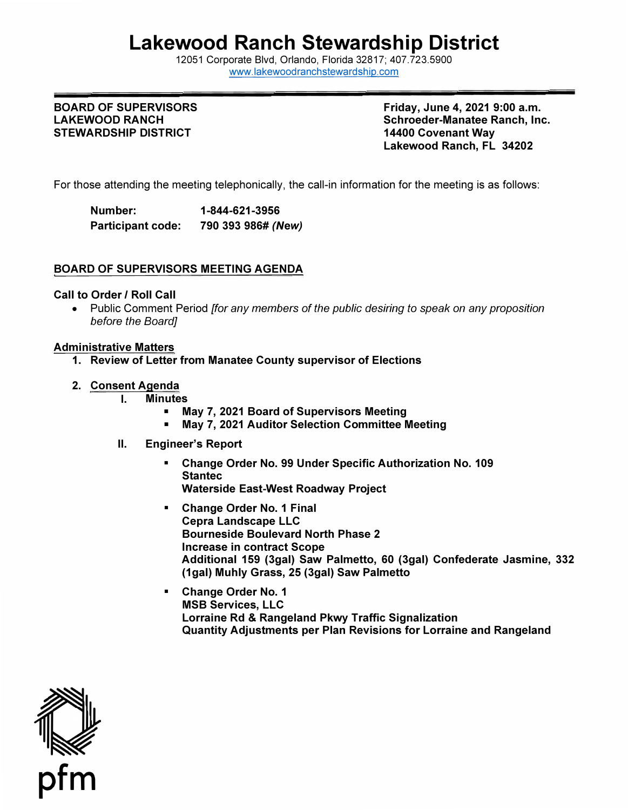# **Lakewood Ranch Stewardship District**

12051 Corporate Blvd, Orlando, Florida 32817; 407.723.5900 [www.lakewoodranchstewardship.com](http://www.lakewoodranchstewardship.com/) 

# **STEWARDSHIP DISTRICT 14400 Covenant Way**

BOARD OF SUPERVISORS **Friday, June 4, 2021 9:00 a.m.** LAKEWOOD RANCH **Schroeder-Manatee Ranch, Inc. Schroeder-Manatee Ranch, Inc. Lakewood Ranch, FL 34202** 

For those attending the meeting telephonically, the call-in information for the meeting is as follows:

**Number: 1-844-621-3956 Participant code: 790 393 986#** *(New)* 

### **BOARD OF SUPERVISORS MEETING AGENDA**

#### **Call to Order** *I* **Roll Call**

• Public Comment Period *[for any members of the public desiring to speak on any proposition before the Board]* 

#### **Administrative Matters**

- **1. Review of Letter from Manatee County supervisor of Elections**
- **2. Consent Agenda** 
	- -
	- **I. Minutes May 7, 2021 Board of Supervisors Meeting May 7, 2021 Auditor Selection Committee Meeting**
	- **II. Engineer's Report** 
		- **Change Order No. 99 Under Specific Authorization No. 109 Stantec Waterside East-West Roadway Project**
		- **Change Order No. 1 Final Cepra Landscape LLC Bourneside Boulevard North Phase 2 Increase in contract Scope Additional 159 (3gal) Saw Palmetto, 60 (3gal) Confederate Jasmine, 332 (1gal) Muhly Grass, 25 (3gal) Saw Palmetto**
		- **Change Order No. 1 MSB Services, LLC Lorraine Rd & Rangeland Pkwy Traffic Signalization Quantity Adjustments per Plan Revisions for Lorraine and Rangeland**